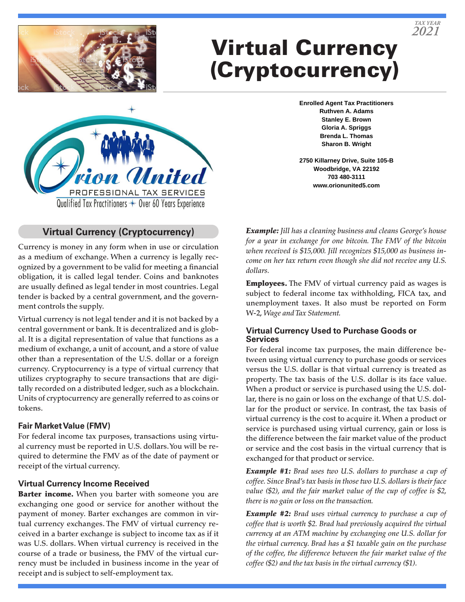

# Virtual Currency (Cryptocurrency)

**Enrolled Agent Tax Practitioners Ruthven A. Adams Stanley E. Brown Gloria A. Spriggs Brenda L. Thomas Sharon B. Wright**

**2750 Killarney Drive, Suite 105-B Woodbridge, VA 22192 703 480-3111 www.orionunited5.com**



### **Virtual Currency (Cryptocurrency)**

Currency is money in any form when in use or circulation as a medium of exchange. When a currency is legally recognized by a government to be valid for meeting a financial obligation, it is called legal tender. Coins and banknotes are usually defined as legal tender in most countries. Legal tender is backed by a central government, and the government controls the supply.

Virtual currency is not legal tender and it is not backed by a central government or bank. It is decentralized and is global. It is a digital representation of value that functions as a medium of exchange, a unit of account, and a store of value other than a representation of the U.S. dollar or a foreign currency. Cryptocurrency is a type of virtual currency that utilizes cryptography to secure transactions that are digitally recorded on a distributed ledger, such as a blockchain. Units of cryptocurrency are generally referred to as coins or tokens.

#### **Fair Market Value (FMV)**

For federal income tax purposes, transactions using virtual currency must be reported in U.S. dollars. You will be required to determine the FMV as of the date of payment or receipt of the virtual currency.

#### **Virtual Currency Income Received**

Barter income. When you barter with someone you are exchanging one good or service for another without the payment of money. Barter exchanges are common in virtual currency exchanges. The FMV of virtual currency received in a barter exchange is subject to income tax as if it was U.S. dollars. When virtual currency is received in the course of a trade or business, the FMV of the virtual currency must be included in business income in the year of receipt and is subject to self-employment tax.

*Example: Jill has a cleaning business and cleans George's house for a year in exchange for one bitcoin. The FMV of the bitcoin when received is \$15,000. Jill recognizes \$15,000 as business income on her tax return even though she did not receive any U.S. dollars.*

**Employees.** The FMV of virtual currency paid as wages is subject to federal income tax withholding, FICA tax, and unemployment taxes. It also must be reported on Form W-2, *Wage and Tax Statement.*

#### **Virtual Currency Used to Purchase Goods or Services**

For federal income tax purposes, the main difference between using virtual currency to purchase goods or services versus the U.S. dollar is that virtual currency is treated as property. The tax basis of the U.S. dollar is its face value. When a product or service is purchased using the U.S. dollar, there is no gain or loss on the exchange of that U.S. dollar for the product or service. In contrast, the tax basis of virtual currency is the cost to acquire it. When a product or service is purchased using virtual currency, gain or loss is the difference between the fair market value of the product or service and the cost basis in the virtual currency that is exchanged for that product or service.

*Example #1: Brad uses two U.S. dollars to purchase a cup of coffee. Since Brad's tax basis in those two U.S. dollars is their face value (\$2), and the fair market value of the cup of coffee is \$2, there is no gain or loss on the transaction.*

*Example #2: Brad uses virtual currency to purchase a cup of coffee that is worth \$2. Brad had previously acquired the virtual currency at an ATM machine by exchanging one U.S. dollar for the virtual currency. Brad has a \$1 taxable gain on the purchase of the coffee, the difference between the fair market value of the coffee (\$2) and the tax basis in the virtual currency (\$1).*